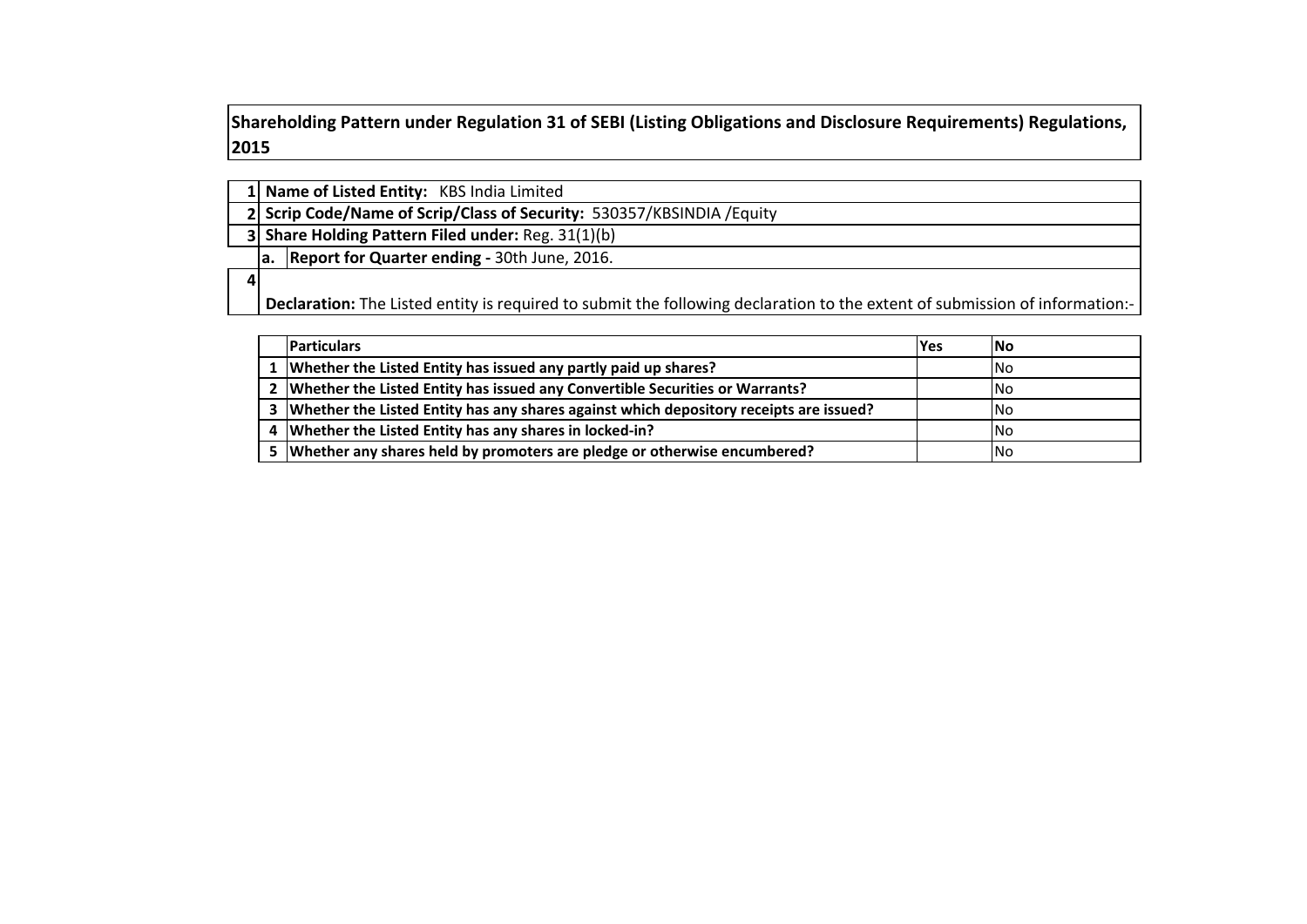**Shareholding Pattern under Regulation 31 of SEBI (Listing Obligations and Disclosure Requirements) Regulations,**  

| 1 Name of Listed Entity: KBS India Limited |  |
|--------------------------------------------|--|
|--------------------------------------------|--|

 **Scrip Code/Name of Scrip/Class of Security:** 530357/KBSINDIA /Equity

 **Share Holding Pattern Filed under:** Reg. 31(1)(b)

**a. Report for Quarter ending -** 30th June, 2016.

 **Declaration:** The Listed entity is required to submit the following declaration to the extent of submission of information:-

| <b>Particulars</b>                                                                         | <b>IYes</b> | INo        |
|--------------------------------------------------------------------------------------------|-------------|------------|
| 1 Whether the Listed Entity has issued any partly paid up shares?                          |             | INo.       |
| 2   Whether the Listed Entity has issued any Convertible Securities or Warrants?           |             | INo.       |
| 3   Whether the Listed Entity has any shares against which depository receipts are issued? |             | INo.       |
| 4 Whether the Listed Entity has any shares in locked-in?                                   |             | <b>INo</b> |
| 5 Whether any shares held by promoters are pledge or otherwise encumbered?                 |             | INo.       |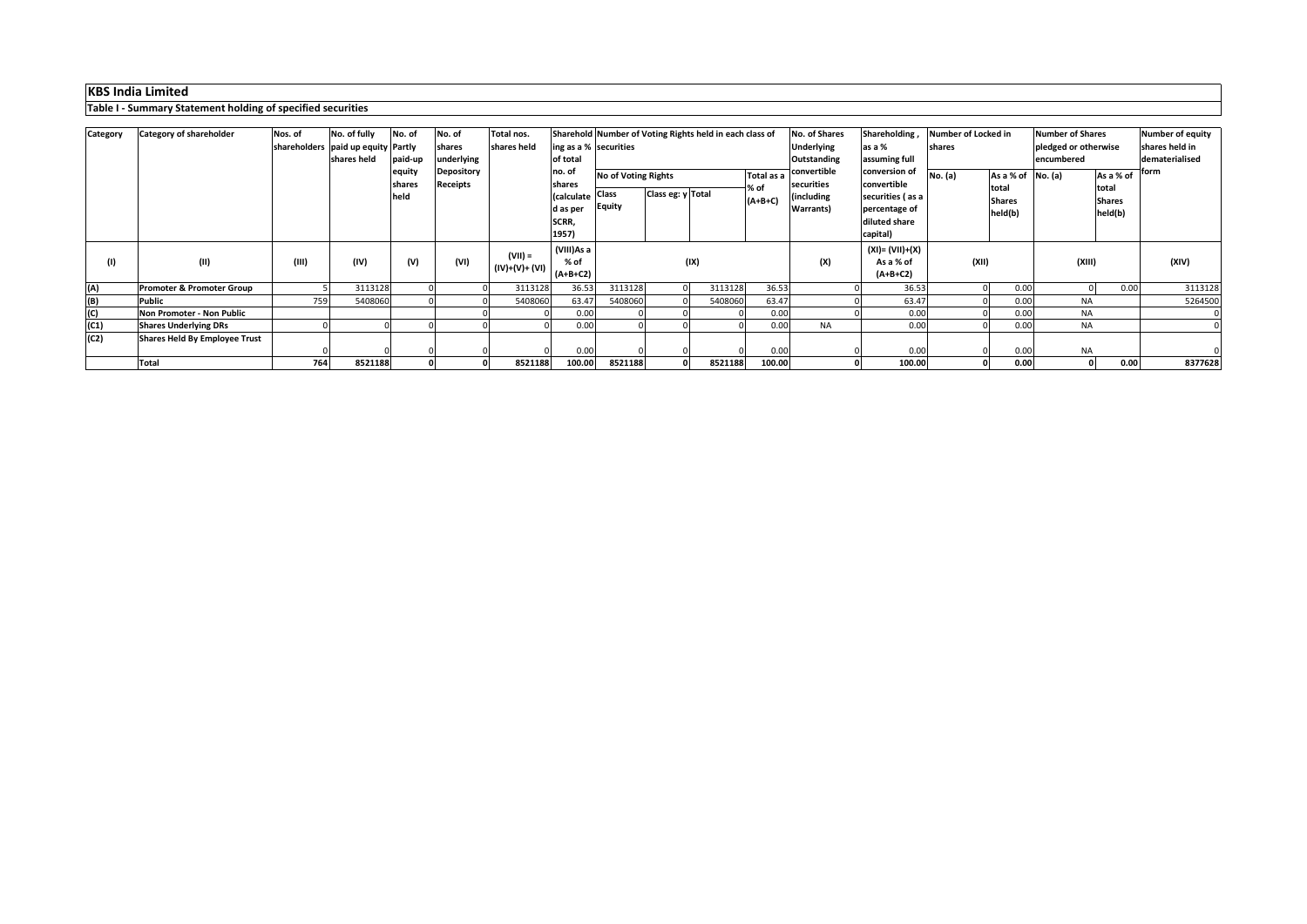|          | asic resultation y statement holding or specified securities |         |                                        |         |                 |                     |                          |                                                         |                   |         |            |                    |                    |                     |               |                         |               |                  |
|----------|--------------------------------------------------------------|---------|----------------------------------------|---------|-----------------|---------------------|--------------------------|---------------------------------------------------------|-------------------|---------|------------|--------------------|--------------------|---------------------|---------------|-------------------------|---------------|------------------|
|          |                                                              |         |                                        |         |                 |                     |                          |                                                         |                   |         |            |                    |                    |                     |               |                         |               |                  |
| Category | <b>Category of shareholder</b>                               | Nos. of | No. of fully                           | No. of  | No. of          | Total nos.          |                          | Sharehold Number of Voting Rights held in each class of |                   |         |            | No. of Shares      | Shareholding,      | Number of Locked in |               | <b>Number of Shares</b> |               | Number of equity |
|          |                                                              |         | shareholders   paid up equity   Partly |         | shares          | shares held         | $\log$ as a % securities |                                                         |                   |         |            | <b>Underlying</b>  | as a %             | shares              |               | pledged or otherwise    |               | shares held in   |
|          |                                                              |         | shares held                            | paid-up | underlying      |                     | of total                 |                                                         |                   |         |            | <b>Outstanding</b> | assuming full      |                     |               | encumbered              |               | dematerialised   |
|          |                                                              |         |                                        | equity  | Depository      |                     | no. of                   | <b>No of Voting Rights</b>                              |                   |         | Total as a | convertible        | conversion of      | <b>No.</b> (a)      | As a % of     | No. (a)                 | As a % of     | 1form            |
|          |                                                              |         |                                        | shares  | <b>Receipts</b> |                     | shares                   |                                                         |                   |         | % of       | securities         | convertible        |                     | total         |                         | total         |                  |
|          |                                                              |         |                                        | held    |                 |                     | (calculate               | <b>Class</b>                                            | Class eg: y Total |         | $(A+B+C)$  | including          | securities (as a   |                     | <b>Shares</b> |                         | <b>Shares</b> |                  |
|          |                                                              |         |                                        |         |                 |                     | d as per                 | <b>Equity</b>                                           |                   |         |            | <b>Warrants</b> )  | percentage of      |                     | held(b)       |                         | held(b)       |                  |
|          |                                                              |         |                                        |         |                 |                     | SCRR,                    |                                                         |                   |         |            |                    | diluted share      |                     |               |                         |               |                  |
|          |                                                              |         |                                        |         |                 |                     | 1957)                    |                                                         |                   |         |            |                    | capital)           |                     |               |                         |               |                  |
|          |                                                              |         |                                        |         |                 |                     | (VIII)As a               |                                                         |                   |         |            |                    | $(XI) = (VII)+(X)$ |                     |               |                         |               |                  |
| (1)      | (II)                                                         | (III)   | (IV)                                   | (V)     | (VI)            | $(VII) =$           | % of                     |                                                         |                   | (IX)    |            | (X)                | As a % of          | (XII)               |               | (XIII)                  |               | (XIV)            |
|          |                                                              |         |                                        |         |                 | $  (IV)+(V)+(VI)  $ | $(A+B+C2)$               |                                                         |                   |         |            |                    | $(A+B+C2)$         |                     |               |                         |               |                  |
| (A)      | <b>Promoter &amp; Promoter Group</b>                         |         | 3113128                                |         |                 | 3113128             | 36.53                    | 3113128                                                 |                   | 3113128 | 36.53      |                    | 36.53              |                     | 0.00          | $\Omega$                | 0.00          | 3113128          |
| (B)      | <b>Public</b>                                                | 759     | 5408060                                |         |                 | 5408060             | 63.47                    | 5408060                                                 |                   | 5408060 | 63.47      |                    | 63.47              |                     | 0.00          | <b>NA</b>               |               | 5264500          |
| (C)      | Non Promoter - Non Public                                    |         |                                        |         |                 |                     | 0.00                     |                                                         |                   |         | 0.00       |                    | 0.00               |                     | 0.00          | <b>NA</b>               |               |                  |
| (C1)     | <b>Shares Underlying DRs</b>                                 |         |                                        |         |                 |                     | 0.00                     |                                                         |                   |         | 0.00       | <b>NA</b>          | 0.00               |                     | 0.00          | <b>NA</b>               |               |                  |
| (C2)     | <b>Shares Held By Employee Trust</b>                         |         |                                        |         |                 |                     |                          |                                                         |                   |         |            |                    |                    |                     |               |                         |               |                  |
|          |                                                              |         |                                        |         |                 |                     | 0.00                     |                                                         |                   |         | 0.00       |                    | 0.00               |                     | 0.00          | <b>NA</b>               |               |                  |
|          | <b>Total</b>                                                 | 764     | 8521188                                |         |                 | 8521188             | 100.00                   | 8521188                                                 |                   | 8521188 | 100.00     |                    | 100.00             |                     | 0.00          |                         | 0 <br>0.00    | 8377628          |

## **KBS India Limited**

**Table I - Summary Statement holding of specified securities**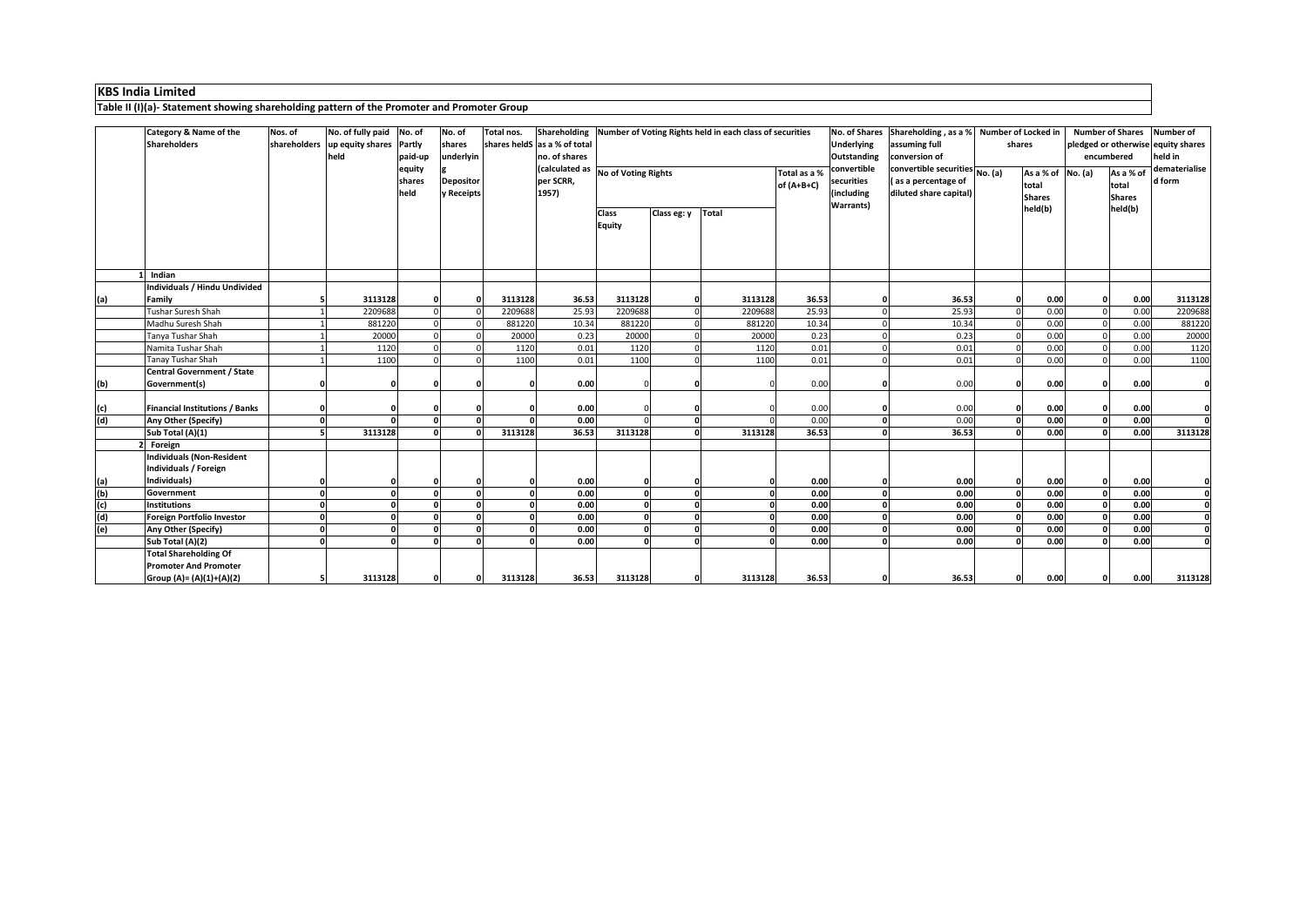|     | Table II (I)(a)- Statement showing shareholding pattern of the Promoter and Promoter Group |                         |                                                             |                          |                                |            |                                               |                                    |             |                                                                         |                              |                                         |                                                                                          |                                                     |                                     |                                                                             |
|-----|--------------------------------------------------------------------------------------------|-------------------------|-------------------------------------------------------------|--------------------------|--------------------------------|------------|-----------------------------------------------|------------------------------------|-------------|-------------------------------------------------------------------------|------------------------------|-----------------------------------------|------------------------------------------------------------------------------------------|-----------------------------------------------------|-------------------------------------|-----------------------------------------------------------------------------|
|     | <b>Category &amp; Name of the</b><br>Shareholders                                          | Nos. of<br>shareholders | No. of fully paid No. of<br>up equity shares Partly<br>held | paid-up                  | No. of<br>shares<br>underlyin  | Total nos. | shares heldS as a % of total<br>no. of shares |                                    |             | Shareholding   Number of Voting Rights held in each class of securities |                              | <b>Underlying</b><br><b>Outstanding</b> | No. of Shares Shareholding, as a % Number of Locked in<br>assuming full<br>conversion of | shares                                              | encumbered                          | Number of Shares Number of<br>pledged or otherwise equity shares<br>held in |
|     |                                                                                            |                         |                                                             | equity<br>shares<br>held | <b>Depositor</b><br>y Receipts |            | per SCRR,<br>1957)                            | (calculated as No of Voting Rights |             |                                                                         | Total as a %<br>$of (A+B+C)$ | convertible<br>securities<br>(including | convertible securities No. (a)<br>(as a percentage of<br>diluted share capital)          | As a % of $\vert$ No. (a)<br>total<br><b>Shares</b> | As a % of<br>total<br><b>Shares</b> | dematerialise<br>d form                                                     |
|     |                                                                                            |                         |                                                             |                          |                                |            |                                               | <b>Class</b><br><b>Equity</b>      | Class eg: y | <b>Total</b>                                                            |                              | <b>Warrants</b> )                       |                                                                                          | held(b)                                             | held(b)                             |                                                                             |
|     | Indian                                                                                     |                         |                                                             |                          |                                |            |                                               |                                    |             |                                                                         |                              |                                         |                                                                                          |                                                     |                                     |                                                                             |
|     | Individuals / Hindu Undivided                                                              |                         |                                                             |                          |                                |            |                                               |                                    |             |                                                                         |                              |                                         |                                                                                          |                                                     |                                     |                                                                             |
| (a) | Family                                                                                     |                         | 3113128                                                     |                          |                                | 3113128    | 36.53                                         | 3113128                            |             | 3113128                                                                 | 36.53                        |                                         | 36.53                                                                                    | 0.00                                                | 0.00                                | 3113128                                                                     |
|     | Tushar Suresh Shah                                                                         |                         | 2209688                                                     |                          |                                | 2209688    | 25.93                                         | 2209688                            |             | 2209688                                                                 | 25.93                        |                                         | 25.93                                                                                    | 0.00                                                | 0.00                                | 2209688                                                                     |
|     | Madhu Suresh Shah                                                                          |                         | 881220                                                      |                          |                                | 881220     | 10.34                                         | 881220                             |             | 881220                                                                  | 10.34                        |                                         | 10.34                                                                                    | 0.00                                                | 0.00                                | 881220                                                                      |
|     | Tanya Tushar Shah                                                                          |                         | 20000                                                       |                          |                                | 20000      | 0.23                                          | 20000                              |             | 20000                                                                   | 0.23                         |                                         | 0.23                                                                                     | 0.00                                                | 0.00                                | 20000                                                                       |
|     | Namita Tushar Shah                                                                         |                         | 1120                                                        |                          |                                | 1120       | 0.01                                          | 1120                               |             | 1120                                                                    | 0.01                         |                                         | 0.01                                                                                     | 0.00                                                | 0.00                                | 1120                                                                        |
|     | <b>Tanay Tushar Shah</b>                                                                   |                         | 1100                                                        |                          |                                | 1100       | 0.01                                          | 1100                               |             | 1100                                                                    | 0.01                         |                                         | 0.01                                                                                     | 0.00                                                | 0.00                                | 1100                                                                        |
|     | <b>Central Government / State</b>                                                          |                         |                                                             |                          |                                |            |                                               |                                    |             |                                                                         |                              |                                         |                                                                                          |                                                     |                                     |                                                                             |
| (b) | Government(s)                                                                              |                         |                                                             |                          |                                |            | 0.00                                          |                                    |             |                                                                         | 0.00                         |                                         | 0.00                                                                                     | 0.00                                                | 0.00                                |                                                                             |
| (c) | <b>Financial Institutions / Banks</b>                                                      |                         |                                                             |                          |                                |            | 0.00                                          |                                    |             |                                                                         | 0.00                         |                                         | 0.00                                                                                     | 0.00                                                | 0.00                                |                                                                             |
| (d) | <b>Any Other (Specify)</b>                                                                 |                         |                                                             |                          |                                |            | 0.00                                          |                                    |             |                                                                         | 0.00                         |                                         | 0.00                                                                                     | 0.00                                                | 0.00                                |                                                                             |
|     | Sub Total (A)(1)                                                                           |                         | 3113128                                                     |                          |                                | 3113128    | 36.53                                         | 3113128                            |             | 3113128                                                                 | 36.53                        |                                         | 36.53                                                                                    | 0.00                                                | 0.00                                | 3113128                                                                     |
|     | Foreign                                                                                    |                         |                                                             |                          |                                |            |                                               |                                    |             |                                                                         |                              |                                         |                                                                                          |                                                     |                                     |                                                                             |
|     | <b>Individuals (Non-Resident</b>                                                           |                         |                                                             |                          |                                |            |                                               |                                    |             |                                                                         |                              |                                         |                                                                                          |                                                     |                                     |                                                                             |
|     | Individuals / Foreign                                                                      |                         |                                                             |                          |                                |            |                                               |                                    |             |                                                                         |                              |                                         |                                                                                          |                                                     |                                     |                                                                             |
| (a) | Individuals)                                                                               | 0                       |                                                             |                          |                                |            | 0.00                                          |                                    |             |                                                                         | 0.00<br>0                    |                                         | 0.00                                                                                     | 0.00                                                | 0.00                                |                                                                             |
| (b) | Government                                                                                 |                         |                                                             |                          | $\Omega$                       |            | 0.00                                          |                                    |             |                                                                         | 0.00<br>n l                  |                                         | 0.00                                                                                     | 0.00<br>n                                           | 0.00<br>ΩI                          |                                                                             |
| (c) | <b>Institutions</b>                                                                        |                         |                                                             |                          |                                |            | 0.00                                          |                                    |             |                                                                         | 0.00                         |                                         | 0.00                                                                                     | 0.00                                                | 0.00                                |                                                                             |
| (d) | Foreign Portfolio Investor                                                                 |                         |                                                             |                          |                                |            | 0.00                                          |                                    |             |                                                                         | 0.00                         |                                         | 0.00                                                                                     | 0.00                                                | 0.00                                | $\Omega$                                                                    |
| (e) | Any Other (Specify)                                                                        |                         |                                                             |                          |                                |            | 0.00                                          |                                    |             |                                                                         | 0.00                         |                                         | 0.00                                                                                     | 0.00                                                | 0.00                                | $\Omega$                                                                    |
|     | Sub Total (A)(2)                                                                           |                         |                                                             |                          | n                              |            | 0.00                                          |                                    |             |                                                                         | 0.00                         |                                         | 0.00                                                                                     | 0.00                                                | 0.00                                | $\Omega$                                                                    |
|     | <b>Total Shareholding Of</b><br><b>Promoter And Promoter</b><br>Group (A)= (A)(1)+(A)(2)   |                         | 3113128                                                     |                          |                                | 3113128    | 36.53                                         | 3113128                            | 0l          | 3113128                                                                 | 36.53                        |                                         | 36.53                                                                                    | 0.00                                                | 0.00                                | 3113128                                                                     |

## **KBS India Limited**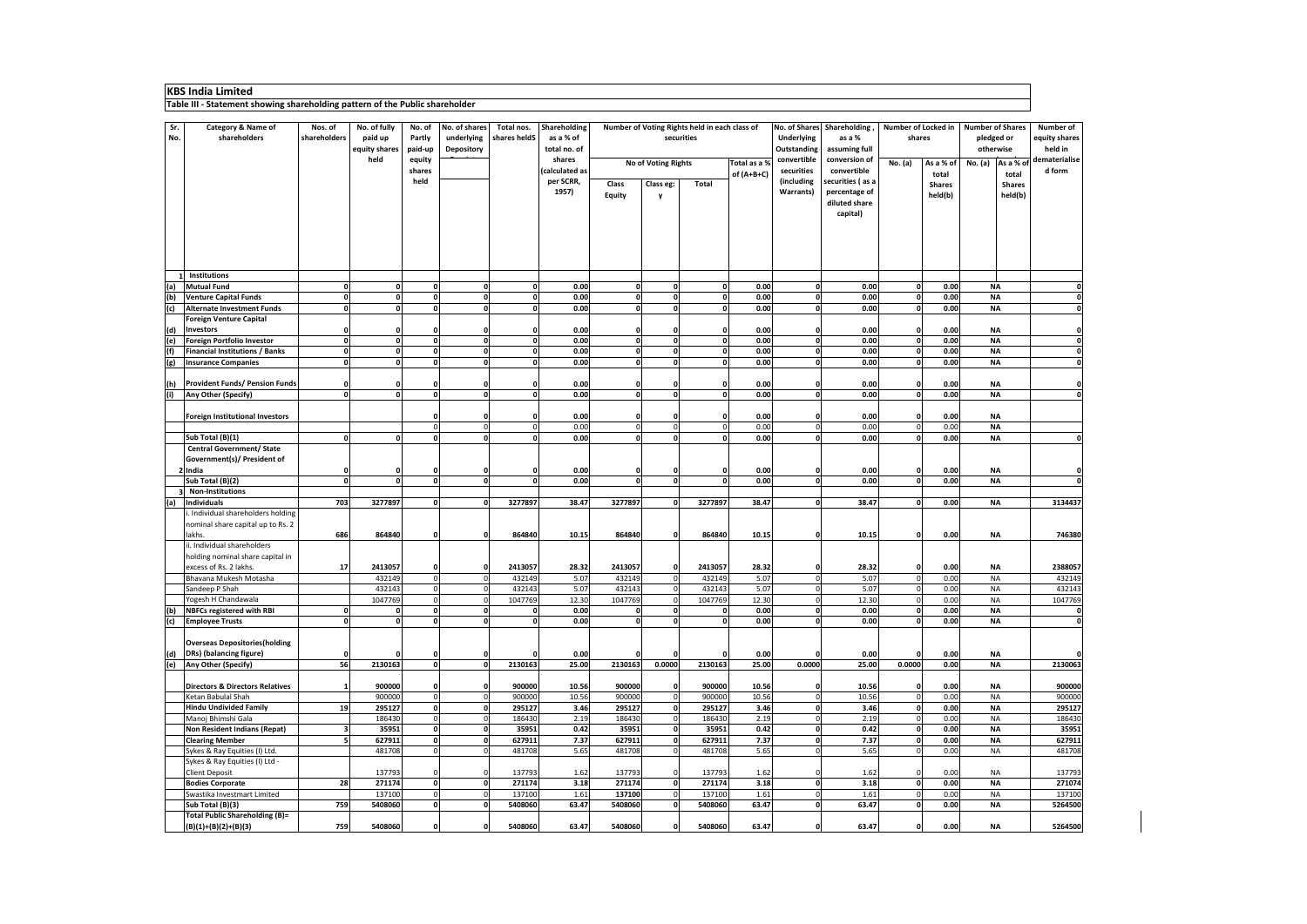| <b>KBS India Limited</b>                                                     |                                                                        |                         |                                          |                                    |                                                  |                            |                                           |                               |                            |                                                             |               |                                  |                                                                |                |                                      |                        |                                                    |                                              |
|------------------------------------------------------------------------------|------------------------------------------------------------------------|-------------------------|------------------------------------------|------------------------------------|--------------------------------------------------|----------------------------|-------------------------------------------|-------------------------------|----------------------------|-------------------------------------------------------------|---------------|----------------------------------|----------------------------------------------------------------|----------------|--------------------------------------|------------------------|----------------------------------------------------|----------------------------------------------|
| Table III - Statement showing shareholding pattern of the Public shareholder |                                                                        |                         |                                          |                                    |                                                  |                            |                                           |                               |                            |                                                             |               |                                  |                                                                |                |                                      |                        |                                                    |                                              |
| Sr.<br>No.                                                                   | <b>Category &amp; Name of</b><br>shareholders                          | Nos. of<br>shareholders | No. of fully<br>paid up<br>equity shares | No. of<br><b>Partly</b><br>paid-up | No. of shares<br>underlying<br><b>Depository</b> | Total nos.<br>shares heldS | Shareholding<br>as a % of<br>total no. of |                               |                            | Number of Voting Rights held in each class of<br>securities |               | <b>Underlying</b><br>Outstanding | No. of Shares Shareholding,<br>as a %<br>assuming full         |                | <b>Number of Locked in</b><br>shares |                        | <b>Number of Shares</b><br>pledged or<br>otherwise | <b>Number of</b><br>equity shares<br>held in |
|                                                                              |                                                                        |                         | held                                     | equity<br>shares                   |                                                  |                            | shares<br>(calculated as                  |                               | <b>No of Voting Rights</b> |                                                             | Total as a %  | convertible<br>securities        | conversion of<br>convertible                                   | <b>No.</b> (a) | As a % of                            | No. (a)                | As a % of                                          | dematerialise<br>d form                      |
|                                                                              |                                                                        |                         |                                          | held                               |                                                  |                            | per SCRR,<br>1957)                        | <b>Class</b><br><b>Equity</b> | Class eg:<br>$\mathbf v$   | <b>Total</b>                                                | of $(A+B+C)$  | (including<br><b>Warrants</b> )  | securities (as a<br>percentage of<br>diluted share<br>capital) |                | total<br><b>Shares</b><br>held(b)    |                        | total<br><b>Shares</b><br>held(b)                  |                                              |
|                                                                              |                                                                        |                         |                                          |                                    |                                                  |                            |                                           |                               |                            |                                                             |               |                                  |                                                                |                |                                      |                        |                                                    |                                              |
| (a)                                                                          | <b>Institutions</b><br>Mutual Fund                                     |                         |                                          |                                    | $\mathbf{0}$                                     | $\mathbf{0}$               | 0.00                                      | 0                             |                            |                                                             | 0.00          |                                  | 0.00                                                           |                | 0.00                                 | <b>NA</b>              |                                                    |                                              |
| (b)                                                                          | <b>Venture Capital Funds</b>                                           |                         |                                          |                                    | $\Omega$                                         | $\mathbf{0}$               | 0.00                                      | $\mathbf{0}$                  |                            |                                                             | 0.00          |                                  | 0.00                                                           |                | 0.00                                 | <b>NA</b>              |                                                    |                                              |
| (c)                                                                          | Alternate Investment Funds                                             |                         |                                          |                                    | $\Omega$                                         | $\Omega$                   | 0.00                                      | $\Omega$                      | $\Omega$                   |                                                             | 0.00          |                                  | 0.00                                                           |                | 0.00                                 | <b>NA</b>              |                                                    |                                              |
|                                                                              | <b>Foreign Venture Capital</b><br>Investors                            |                         |                                          |                                    |                                                  |                            | 0.00                                      |                               |                            |                                                             | 0.00          |                                  | 0.00                                                           |                | 0.00                                 | <b>NA</b>              |                                                    |                                              |
| $\frac{d}{e}$                                                                | <b>Foreign Portfolio Investor</b>                                      |                         |                                          |                                    | $\mathbf 0$                                      | $\Omega$                   | 0.00                                      | $\mathbf 0$                   |                            |                                                             | 0.00          |                                  | 0.00                                                           |                | 0.00                                 | <b>NA</b>              |                                                    |                                              |
| (f)                                                                          | <b>Financial Institutions / Banks</b>                                  |                         |                                          |                                    | $\mathbf 0$                                      | 0l                         | 0.00                                      | 0                             |                            |                                                             | 0.00          |                                  | 0.00                                                           |                | 0.00                                 | <b>NA</b>              |                                                    |                                              |
| (g)                                                                          | Insurance Companies                                                    |                         |                                          |                                    | 0                                                | $\Omega$                   | 0.00                                      | $\mathbf{0}$                  |                            |                                                             | 0.00          |                                  | 0.00                                                           |                | 0.00                                 | <b>NA</b>              |                                                    |                                              |
| (h)                                                                          | <b>Provident Funds/ Pension Funds</b>                                  |                         |                                          |                                    |                                                  |                            | 0.00                                      | 0                             |                            |                                                             | 0.00          |                                  | 0.00                                                           |                | 0.00                                 | <b>NA</b>              |                                                    |                                              |
| (i)                                                                          | <b>Any Other (Specify)</b>                                             |                         |                                          |                                    | $\Omega$                                         | $\Omega$                   | 0.00                                      | $\mathbf 0$                   |                            |                                                             | 0.00          |                                  | 0.00                                                           |                | 0.00                                 | <b>NA</b>              |                                                    |                                              |
|                                                                              | <b>Foreign Institutional Investors</b>                                 |                         |                                          |                                    |                                                  | υι                         | 0.00                                      |                               |                            |                                                             | 0.00          |                                  | 0.00                                                           |                | 0.00                                 | <b>NA</b>              |                                                    |                                              |
|                                                                              |                                                                        |                         |                                          |                                    | $\Omega$                                         | $\Omega$                   | 0.00                                      | $\Omega$                      |                            |                                                             | 0.00          |                                  | 0.00                                                           |                | 0.00                                 | <b>NA</b>              |                                                    |                                              |
|                                                                              | Sub Total (B)(1)                                                       |                         |                                          | $\Omega$                           | 0l                                               | $\Omega$                   | 0.00                                      | $\Omega$                      | - Ol                       |                                                             | 0.00          |                                  | 0.00                                                           |                | 0.00                                 | <b>NA</b>              |                                                    |                                              |
|                                                                              | <b>Central Government/ State</b><br>Government(s)/ President of        |                         |                                          |                                    |                                                  |                            |                                           |                               |                            |                                                             |               |                                  |                                                                |                |                                      |                        |                                                    |                                              |
|                                                                              | lndia!<br>Sub Total (B)(2)                                             | ſ                       |                                          | $\mathbf{0}$                       | 0l                                               | 0l                         | 0.00<br>0.00                              | $\mathbf{0}$                  | $\Omega$                   |                                                             | 0.00<br>0.00  |                                  | 0.00<br>0.00                                                   |                | 0.00<br>0.00                         | <b>NA</b><br><b>NA</b> |                                                    | <sup>0</sup>                                 |
|                                                                              | <b>Non-Institutions</b>                                                |                         |                                          |                                    |                                                  |                            |                                           |                               |                            |                                                             |               |                                  |                                                                |                |                                      |                        |                                                    |                                              |
| (a)                                                                          | Individuals                                                            | 703                     | 3277897                                  | $\Omega$                           | $\Omega$                                         | 3277897                    | 38.47                                     | 3277897                       |                            | 3277897                                                     | 38.47         |                                  | 38.47                                                          |                | 0.00                                 | <b>NA</b>              |                                                    | 3134437                                      |
|                                                                              | . Individual shareholders holding<br>nominal share capital up to Rs. 2 |                         |                                          |                                    |                                                  |                            |                                           |                               |                            |                                                             |               |                                  |                                                                |                |                                      |                        |                                                    |                                              |
|                                                                              | lakhs.<br>ii. Individual shareholders                                  | 686                     | 864840                                   |                                    |                                                  | 864840                     | 10.15                                     | 864840                        | -01                        | 864840                                                      | 10.15         |                                  | 10.15                                                          |                | 0.00                                 | <b>NA</b>              |                                                    | 746380                                       |
|                                                                              | holding nominal share capital in                                       |                         |                                          |                                    |                                                  |                            |                                           |                               |                            |                                                             |               |                                  |                                                                |                |                                      |                        |                                                    |                                              |
|                                                                              | excess of Rs. 2 lakhs.<br>Bhavana Mukesh Motasha                       | 17                      | 2413057<br>432149                        | $\Omega$                           | <sup>0</sup><br>$\Omega$                         | 2413057<br>432149          | 28.32<br>5.07                             | 2413057<br>432149             | -0 l                       | 2413057<br>432149                                           | 28.32<br>5.07 |                                  | 28.32<br>5.07                                                  |                | 0.00<br>0.00                         | <b>NA</b><br><b>NA</b> |                                                    | 2388057<br>432149                            |
|                                                                              | Sandeep P Shah                                                         |                         | 432143                                   | $\Omega$                           | $\overline{0}$                                   | 432143                     | 5.07                                      | 432143                        |                            | 432143                                                      | 5.07          |                                  | 5.07                                                           |                | 0.00                                 | <b>NA</b>              |                                                    | 432143                                       |
|                                                                              | Yogesh H Chandawala                                                    |                         | 1047769                                  |                                    |                                                  | 1047769                    | 12.30                                     | 1047769                       |                            | 1047769                                                     | 12.30         |                                  | 12.30                                                          |                | 0.00                                 | <b>NA</b>              |                                                    | 1047769                                      |
| (b)                                                                          | <b>NBFCs registered with RBI</b>                                       |                         |                                          |                                    |                                                  | $\overline{0}$             | 0.00                                      |                               |                            |                                                             | 0.00          |                                  | 0.00                                                           |                | 0.00                                 | <b>NA</b>              |                                                    | $\mathbf{0}$                                 |
| (c)                                                                          | <b>Employee Trusts</b>                                                 |                         |                                          |                                    | 0l                                               | $\Omega$                   | 0.00                                      | $\mathbf{0}$                  |                            |                                                             | 0.00          |                                  | 0.00                                                           |                | 0.00                                 | <b>NA</b>              |                                                    |                                              |
|                                                                              | <b>Overseas Depositories (holding</b>                                  |                         |                                          |                                    |                                                  |                            |                                           |                               |                            |                                                             |               |                                  |                                                                |                |                                      | <b>NA</b>              |                                                    |                                              |
| (d)<br>(e)                                                                   | <b>DRs</b> ) (balancing figure)<br>Any Other (Specify)                 | 56                      | 2130163                                  | 0l                                 | 0l                                               | 2130163                    | 0.00<br>25.00                             | 2130163                       | 0.0000                     | 2130163                                                     | 0.00<br>25.00 | 0.0000                           | 0.00<br>25.00                                                  | 0.0000         | 0.00<br>0.00                         | <b>NA</b>              |                                                    | 2130063                                      |
|                                                                              |                                                                        |                         |                                          |                                    |                                                  |                            |                                           |                               |                            |                                                             |               |                                  |                                                                |                |                                      |                        |                                                    |                                              |
|                                                                              | <b>Directors &amp; Directors Relatives</b>                             |                         | 900000                                   |                                    | 0l                                               | 900000                     | 10.56                                     | 900000                        | -0 l                       | 900000                                                      | 10.56         |                                  | 10.56                                                          |                | 0.00                                 | <b>NA</b>              |                                                    | 900000                                       |
|                                                                              | Ketan Babulal Shah<br><b>Hindu Undivided Family</b>                    | 19                      | 900000<br>295127                         | $\Omega$<br>$\mathbf{0}$           | 0 <br>0l                                         | 900000<br>295127           | 10.56<br>3.46                             | 900000<br>295127              | n                          | 900000<br>295127                                            | 10.56<br>3.46 |                                  | 10.56<br>3.46                                                  |                | 0.00<br>0.00                         | <b>NA</b><br><b>NA</b> |                                                    | 900000<br>295127                             |
|                                                                              | Manoj Bhimshi Gala                                                     |                         | 186430                                   | $\Omega$                           | 0                                                | 186430                     | 2.19                                      | 186430                        |                            | 186430                                                      | 2.19          |                                  | 2.19                                                           |                | 0.00                                 | <b>NA</b>              |                                                    | 186430                                       |
|                                                                              | Non Resident Indians (Repat)                                           |                         | 35951                                    |                                    | Οl                                               | 35951                      | 0.42                                      | 35951                         |                            | 35951                                                       | 0.42          |                                  | 0.42                                                           |                | 0.00                                 | <b>NA</b>              |                                                    | 35951                                        |
|                                                                              | <b>Clearing Member</b>                                                 |                         | 627911                                   |                                    | $\mathbf 0$                                      | 627911                     | 7.37                                      | 627911                        |                            | 627911                                                      | 7.37          |                                  | 7.37                                                           |                | 0.00                                 | <b>NA</b>              |                                                    | 627911                                       |
|                                                                              | Sykes & Ray Equities (I) Ltd.                                          |                         | 481708                                   | 0                                  | 0                                                | 481708                     | 5.65                                      | 481708                        | $\overline{0}$             | 481708                                                      | 5.65          |                                  | 5.65                                                           | $\overline{0}$ | 0.00                                 | <b>NA</b>              |                                                    | 481708                                       |
|                                                                              | Sykes & Ray Equities (I) Ltd -<br><b>Client Deposit</b>                |                         | 137793                                   | $\Omega$                           | $\Omega$                                         | 137793                     | 1.62                                      | 137793                        | $\overline{0}$             | 137793                                                      | 1.62          |                                  | 1.62                                                           |                | 0.00                                 | <b>NA</b>              |                                                    | 137793                                       |
|                                                                              | <b>Bodies Corporate</b>                                                | 28                      | 271174                                   | 0                                  | 0                                                | 271174                     | 3.18                                      | 271174                        | -01                        | 271174                                                      | 3.18          |                                  | 3.18                                                           |                | 0.00                                 | <b>NA</b>              |                                                    | 271074                                       |
|                                                                              | Swastika Investmart Limited<br>Sub Total (B)(3)                        | 759                     | 137100<br>5408060                        | $\Omega$<br>$\mathbf 0$            | $\overline{0}$<br> 0                             | 137100<br>5408060          | 1.61<br>63.47                             | 137100<br>5408060             |                            | 137100<br>5408060                                           | 1.61<br>63.47 |                                  | 1.61<br>63.47                                                  |                | 0.00<br>0.00                         | <b>NA</b><br><b>NA</b> |                                                    | 137100<br>5264500                            |
|                                                                              | Total Public Shareholding (B)=                                         |                         |                                          |                                    |                                                  |                            |                                           |                               |                            |                                                             |               |                                  |                                                                |                |                                      |                        |                                                    |                                              |
|                                                                              | $ (B)(1)+(B)(2)+(B)(3) $                                               | 759                     | 5408060                                  |                                    | 0l                                               | 5408060                    | 63.47                                     | 5408060                       | -OI                        | 5408060                                                     | 63.47         |                                  | 63.47                                                          |                | 0.00                                 | <b>NA</b>              |                                                    | 5264500                                      |

| Table III - Statement showing shareholding pattern of the Public shareholder<br>No. of Shares Shareholding,<br>No. of fully<br>No. of shares<br>Shareholding<br>Number of Voting Rights held in each class of<br><b>Number of Locked in</b><br>Number of Shares<br><b>Number of</b><br>Sr.<br><b>Category &amp; Name of</b><br>Total nos.<br>Nos. of<br>No. of<br>shareholders<br>shareholders<br>paid up<br>underlying<br>shares heldS<br>as a % of<br><b>Underlying</b><br><b>Partly</b><br>securities<br>as a %<br>shares<br>pledged or<br>equity shares<br>No.<br>held in<br><b>Depository</b><br>total no. of<br>Outstanding<br>assuming full<br>otherwise<br>equity shares<br>paid-up<br>convertible<br>held<br>shares<br>conversion of<br>equity<br>No of Voting Rights<br>Total as a %<br><b>No.</b> (a)<br>No. (a)<br>As a % of<br>As a % of<br>securities<br>convertible<br>(calculated as<br>d form<br>shares<br>of $(A+B+C)$<br>total<br>total<br>per SCRR,<br>(including<br>securities (as a<br>held<br><b>Class</b><br>Class eg:<br><b>Total</b><br><b>Shares</b><br><b>Shares</b><br>1957)<br>percentage of<br><b>Warrants</b> )<br><b>Equity</b><br>held(b)<br>held(b)<br>diluted share<br>capital)<br><b>Institutions</b><br>Mutual Fund<br>0.00<br>0.00<br>0.00<br>0.00<br><b>NA</b><br>(a)<br>$\Omega$<br>$\mathbf{0}$<br>0l<br><b>Venture Capital Funds</b><br>0.00<br>0.00<br>0.00<br>0.00<br><b>NA</b><br>$\Omega$<br>0.00<br>0.00<br>0.00<br>0.00<br><b>NA</b><br><b>Alternate Investment Funds</b><br>$\Omega$<br>0l<br><b>Foreign Venture Capital</b><br>Investors<br>0.00<br>0.00<br>0.00<br><b>NA</b><br>0.00<br>0.00<br>0.00<br>0.00<br>0.00<br>(e)<br>Foreign Portfolio Investor<br><b>NA</b><br>0l<br>$\Omega$<br>$\mathbf{0}$<br><b>Financial Institutions / Banks</b><br>0.00<br>0.00<br>0.00<br>0.00<br><b>NA</b><br>$\mathbf{0}$<br>0.00<br><b>Insurance Companies</b><br>0.00<br><sup>0</sup><br>0.00<br>0.00<br><b>NA</b><br>0<br>$\Omega$<br><b>Provident Funds/ Pension Funds</b><br>0.00<br>0.00<br>0.00<br>0.00<br><b>NA</b><br>Any Other (Specify)<br>0.00<br>0.00<br>0.00<br>0.00<br><b>NA</b><br>ŋ<br>0.00<br>0.00<br><b>Foreign Institutional Investors</b><br>0.00<br>0.00<br><b>NA</b><br>0.00<br>0.00<br>0.00<br>0.00<br><b>NA</b><br>0.00<br>0.00<br>Sub Total (B)(1)<br>0.00<br>0.00<br><b>NA</b><br>$\mathbf{0}$<br>ŋ<br>0l<br>$\Omega$<br>∩<br><b>Central Government/ State</b><br>Government(s)/ President of<br>$2$  India<br>0.00<br>0.00<br>0.00<br>0.00<br><b>NA</b><br>Sub Total (B)(2)<br>0.00<br>$\Omega$<br>0.00<br>0.00<br>0.00<br><b>NA</b><br>ŋ<br>0l<br>$\Omega$<br><b>Non-Institutions</b><br><b>Individuals</b><br>703<br>3277897<br>3277897<br>38.47<br>3277897<br>3277897<br>38.47<br>38.47<br>0.00<br><b>NA</b><br>3134437<br>(a)<br>0<br>$\Omega$<br>. Individual shareholders holding<br>nominal share capital up to Rs. 2<br><b>NA</b><br>lakhs.<br>686<br>864840<br>864840<br>10.15<br>864840<br>864840<br>10.15<br>10.15<br>0.00<br>0l<br>ΩI<br>ii. Individual shareholders<br>holding nominal share capital in<br>excess of Rs. 2 lakhs.<br>2413057<br>2413057<br>28.32<br>2413057<br>2413057<br>28.32<br>28.32<br>0.00<br><b>NA</b><br>2388057<br>17<br>0l<br>Bhavana Mukesh Motasha<br>432149<br>5.07<br>432149<br>5.07<br>5.07<br>0.00<br><b>NA</b><br>432149<br>432149<br>432149<br>5.07<br>5.07<br>Sandeep P Shah<br>432143<br>432143<br>432143<br>432143<br>5.07<br>0.00<br>432143<br><b>NA</b><br>0.00<br>Yogesh H Chandawala<br>12.30<br>1047769<br>1047769<br>12.30<br>12.30<br>1047769<br>1047769<br><b>NA</b><br>1047769<br>0.00<br><b>NBFCs registered with RBI</b><br>0.00<br>0.00<br>0.00<br><b>NA</b><br>$\Omega$<br>n<br>0.00<br>0.00<br>$\Omega$<br>0.00<br>0.00<br><b>NA</b><br><b>Employee Trusts</b><br>$\mathbf{0}$<br>$\mathbf{0}$<br>0l<br>(c)<br><b>Overseas Depositories (holding</b><br><b>DRs)</b> (balancing figure)<br>0.00<br>0.00<br>0.00<br><b>NA</b><br>0.00<br>56<br><b>Any Other (Specify)</b><br>2130163<br>2130163<br>25.00<br>0.0000<br>2130163<br>25.00<br>0.0000<br>0.00<br>2130063<br>2130163<br>0.0000<br>25.00<br><b>NA</b><br>$\Omega$<br>(e)<br>900000<br><b>Directors &amp; Directors Relatives</b><br>900000<br>900000<br>10.56<br>900000<br>900000<br>10.56<br>10.56<br>0.00<br><b>NA</b><br>0l<br>0<br>Ketan Babulal Shah<br>900000<br>900000<br>900000<br>900000<br>900000<br>10.56<br>10.56<br>10.56<br>0.00<br><b>NA</b><br>Hindu Undivided Family<br>3.46<br>295127<br>3.46<br>0.00<br><b>NA</b><br>295127<br>295127<br>295127<br>295127<br>3.46<br>19<br>0.00<br>Manoj Bhimshi Gala<br>2.19<br>186430<br>186430<br>2.19<br>186430<br>186430<br>186430<br>2.19<br><b>NA</b><br>Non Resident Indians (Repat)<br>0.42<br>0.42<br>0.00<br>35951<br>35951<br>0.42<br><b>NA</b><br>35951<br>35951<br>0l<br>35951<br>0<br>7.37<br>627911<br>7.37<br>7.37<br>0.00<br>627911<br><b>Clearing Member</b><br>627911<br>627911<br>627911<br><b>NA</b><br>Sykes & Ray Equities (I) Ltd.<br>5.65<br>5.65<br>5.65<br>0.00<br>481708<br>481708<br>481708<br>481708<br>481708<br><b>NA</b><br>υı<br>υ<br>νı<br>Sykes & Ray Equities (I) Ltd -<br>137793<br>137793<br>137793<br>1.62<br><b>Client Deposit</b><br>137793<br>1.62<br>0.00<br><b>NA</b><br>137793<br>1.62<br>0I<br>0.00<br>28<br>271174<br>271174<br>3.18<br>271174<br>271174<br>3.18<br>3.18<br><b>Bodies Corporate</b><br><b>NA</b><br>271074<br> 0 <br> 0 <br>0.00<br>Swastika Investmart Limited<br>1.61<br>1.61<br>137100<br>137100<br>137100<br>137100<br>1.61<br><b>NA</b><br>137100<br>$\Omega$<br>Sub Total (B)(3)<br>0.00<br>759<br>63.47<br>5408060<br>5408060<br>63.47<br>63.47<br>5408060<br>0<br>5408060<br>0l<br><b>NA</b><br>5264500<br><b>Total Public Shareholding (B)=</b><br>$ (B)(1)+(B)(2)+(B)(3) $<br>759<br>5408060<br>5408060<br>63.47<br>5408060<br>5408060<br>63.47<br>63.47<br>0.00<br><b>NA</b><br> 0 <br> 0 <br>5264500<br>01 |     | <b>KBS India Limited</b> |  |  |  |  |  |  |  |  |  |  |  |  |               |
|----------------------------------------------------------------------------------------------------------------------------------------------------------------------------------------------------------------------------------------------------------------------------------------------------------------------------------------------------------------------------------------------------------------------------------------------------------------------------------------------------------------------------------------------------------------------------------------------------------------------------------------------------------------------------------------------------------------------------------------------------------------------------------------------------------------------------------------------------------------------------------------------------------------------------------------------------------------------------------------------------------------------------------------------------------------------------------------------------------------------------------------------------------------------------------------------------------------------------------------------------------------------------------------------------------------------------------------------------------------------------------------------------------------------------------------------------------------------------------------------------------------------------------------------------------------------------------------------------------------------------------------------------------------------------------------------------------------------------------------------------------------------------------------------------------------------------------------------------------------------------------------------------------------------------------------------------------------------------------------------------------------------------------------------------------------------------------------------------------------------------------------------------------------------------------------------------------------------------------------------------------------------------------------------------------------------------------------------------------------------------------------------------------------------------------------------------------------------------------------------------------------------------------------------------------------------------------------------------------------------------------------------------------------------------------------------------------------------------------------------------------------------------------------------------------------------------------------------------------------------------------------------------------------------------------------------------------------------------------------------------------------------------------------------------------------------------------------------------------------------------------------------------------------------------------------------------------------------------------------------------------------------------------------------------------------------------------------------------------------------------------------------------------------------------------------------------------------------------------------------------------------------------------------------------------------------------------------------------------------------------------------------------------------------------------------------------------------------------------------------------------------------------------------------------------------------------------------------------------------------------------------------------------------------------------------------------------------------------------------------------------------------------------------------------------------------------------------------------------------------------------------------------------------------------------------------------------------------------------------------------------------------------------------------------------------------------------------------------------------------------------------------------------------------------------------------------------------------------------------------------------------------------------------------------------------------------------------------------------------------------------------------------------------------------------------------------------------------------------------------------------------------------------------------------------------------------------------------------------------------------------------------------------------------------------------------------------------------------------------------------------------------------------------------------------------------------------------------------------------------------------------------------------------------------------------------------------------------------------------------------------------------------------------------------------------------------------------------------------------------------------------------------------------------------------------------------------------------------------------------------------------------------------------------------------------------------------------------------------------------------------------------------------------------------------------------------------------------------------------------------------------------------------------------------------------------------------------------------------------------------------------------------------------------------------------|-----|--------------------------|--|--|--|--|--|--|--|--|--|--|--|--|---------------|
|                                                                                                                                                                                                                                                                                                                                                                                                                                                                                                                                                                                                                                                                                                                                                                                                                                                                                                                                                                                                                                                                                                                                                                                                                                                                                                                                                                                                                                                                                                                                                                                                                                                                                                                                                                                                                                                                                                                                                                                                                                                                                                                                                                                                                                                                                                                                                                                                                                                                                                                                                                                                                                                                                                                                                                                                                                                                                                                                                                                                                                                                                                                                                                                                                                                                                                                                                                                                                                                                                                                                                                                                                                                                                                                                                                                                                                                                                                                                                                                                                                                                                                                                                                                                                                                                                                                                                                                                                                                                                                                                                                                                                                                                                                                                                                                                                                                                                                                                                                                                                                                                                                                                                                                                                                                                                                                                                                                                                                                                                                                                                                                                                                                                                                                                                                                                                                                                                                                                        |     |                          |  |  |  |  |  |  |  |  |  |  |  |  |               |
|                                                                                                                                                                                                                                                                                                                                                                                                                                                                                                                                                                                                                                                                                                                                                                                                                                                                                                                                                                                                                                                                                                                                                                                                                                                                                                                                                                                                                                                                                                                                                                                                                                                                                                                                                                                                                                                                                                                                                                                                                                                                                                                                                                                                                                                                                                                                                                                                                                                                                                                                                                                                                                                                                                                                                                                                                                                                                                                                                                                                                                                                                                                                                                                                                                                                                                                                                                                                                                                                                                                                                                                                                                                                                                                                                                                                                                                                                                                                                                                                                                                                                                                                                                                                                                                                                                                                                                                                                                                                                                                                                                                                                                                                                                                                                                                                                                                                                                                                                                                                                                                                                                                                                                                                                                                                                                                                                                                                                                                                                                                                                                                                                                                                                                                                                                                                                                                                                                                                        |     |                          |  |  |  |  |  |  |  |  |  |  |  |  |               |
|                                                                                                                                                                                                                                                                                                                                                                                                                                                                                                                                                                                                                                                                                                                                                                                                                                                                                                                                                                                                                                                                                                                                                                                                                                                                                                                                                                                                                                                                                                                                                                                                                                                                                                                                                                                                                                                                                                                                                                                                                                                                                                                                                                                                                                                                                                                                                                                                                                                                                                                                                                                                                                                                                                                                                                                                                                                                                                                                                                                                                                                                                                                                                                                                                                                                                                                                                                                                                                                                                                                                                                                                                                                                                                                                                                                                                                                                                                                                                                                                                                                                                                                                                                                                                                                                                                                                                                                                                                                                                                                                                                                                                                                                                                                                                                                                                                                                                                                                                                                                                                                                                                                                                                                                                                                                                                                                                                                                                                                                                                                                                                                                                                                                                                                                                                                                                                                                                                                                        |     |                          |  |  |  |  |  |  |  |  |  |  |  |  | dematerialise |
|                                                                                                                                                                                                                                                                                                                                                                                                                                                                                                                                                                                                                                                                                                                                                                                                                                                                                                                                                                                                                                                                                                                                                                                                                                                                                                                                                                                                                                                                                                                                                                                                                                                                                                                                                                                                                                                                                                                                                                                                                                                                                                                                                                                                                                                                                                                                                                                                                                                                                                                                                                                                                                                                                                                                                                                                                                                                                                                                                                                                                                                                                                                                                                                                                                                                                                                                                                                                                                                                                                                                                                                                                                                                                                                                                                                                                                                                                                                                                                                                                                                                                                                                                                                                                                                                                                                                                                                                                                                                                                                                                                                                                                                                                                                                                                                                                                                                                                                                                                                                                                                                                                                                                                                                                                                                                                                                                                                                                                                                                                                                                                                                                                                                                                                                                                                                                                                                                                                                        |     |                          |  |  |  |  |  |  |  |  |  |  |  |  |               |
|                                                                                                                                                                                                                                                                                                                                                                                                                                                                                                                                                                                                                                                                                                                                                                                                                                                                                                                                                                                                                                                                                                                                                                                                                                                                                                                                                                                                                                                                                                                                                                                                                                                                                                                                                                                                                                                                                                                                                                                                                                                                                                                                                                                                                                                                                                                                                                                                                                                                                                                                                                                                                                                                                                                                                                                                                                                                                                                                                                                                                                                                                                                                                                                                                                                                                                                                                                                                                                                                                                                                                                                                                                                                                                                                                                                                                                                                                                                                                                                                                                                                                                                                                                                                                                                                                                                                                                                                                                                                                                                                                                                                                                                                                                                                                                                                                                                                                                                                                                                                                                                                                                                                                                                                                                                                                                                                                                                                                                                                                                                                                                                                                                                                                                                                                                                                                                                                                                                                        |     |                          |  |  |  |  |  |  |  |  |  |  |  |  |               |
|                                                                                                                                                                                                                                                                                                                                                                                                                                                                                                                                                                                                                                                                                                                                                                                                                                                                                                                                                                                                                                                                                                                                                                                                                                                                                                                                                                                                                                                                                                                                                                                                                                                                                                                                                                                                                                                                                                                                                                                                                                                                                                                                                                                                                                                                                                                                                                                                                                                                                                                                                                                                                                                                                                                                                                                                                                                                                                                                                                                                                                                                                                                                                                                                                                                                                                                                                                                                                                                                                                                                                                                                                                                                                                                                                                                                                                                                                                                                                                                                                                                                                                                                                                                                                                                                                                                                                                                                                                                                                                                                                                                                                                                                                                                                                                                                                                                                                                                                                                                                                                                                                                                                                                                                                                                                                                                                                                                                                                                                                                                                                                                                                                                                                                                                                                                                                                                                                                                                        |     |                          |  |  |  |  |  |  |  |  |  |  |  |  |               |
|                                                                                                                                                                                                                                                                                                                                                                                                                                                                                                                                                                                                                                                                                                                                                                                                                                                                                                                                                                                                                                                                                                                                                                                                                                                                                                                                                                                                                                                                                                                                                                                                                                                                                                                                                                                                                                                                                                                                                                                                                                                                                                                                                                                                                                                                                                                                                                                                                                                                                                                                                                                                                                                                                                                                                                                                                                                                                                                                                                                                                                                                                                                                                                                                                                                                                                                                                                                                                                                                                                                                                                                                                                                                                                                                                                                                                                                                                                                                                                                                                                                                                                                                                                                                                                                                                                                                                                                                                                                                                                                                                                                                                                                                                                                                                                                                                                                                                                                                                                                                                                                                                                                                                                                                                                                                                                                                                                                                                                                                                                                                                                                                                                                                                                                                                                                                                                                                                                                                        |     |                          |  |  |  |  |  |  |  |  |  |  |  |  |               |
|                                                                                                                                                                                                                                                                                                                                                                                                                                                                                                                                                                                                                                                                                                                                                                                                                                                                                                                                                                                                                                                                                                                                                                                                                                                                                                                                                                                                                                                                                                                                                                                                                                                                                                                                                                                                                                                                                                                                                                                                                                                                                                                                                                                                                                                                                                                                                                                                                                                                                                                                                                                                                                                                                                                                                                                                                                                                                                                                                                                                                                                                                                                                                                                                                                                                                                                                                                                                                                                                                                                                                                                                                                                                                                                                                                                                                                                                                                                                                                                                                                                                                                                                                                                                                                                                                                                                                                                                                                                                                                                                                                                                                                                                                                                                                                                                                                                                                                                                                                                                                                                                                                                                                                                                                                                                                                                                                                                                                                                                                                                                                                                                                                                                                                                                                                                                                                                                                                                                        | (c) |                          |  |  |  |  |  |  |  |  |  |  |  |  |               |
|                                                                                                                                                                                                                                                                                                                                                                                                                                                                                                                                                                                                                                                                                                                                                                                                                                                                                                                                                                                                                                                                                                                                                                                                                                                                                                                                                                                                                                                                                                                                                                                                                                                                                                                                                                                                                                                                                                                                                                                                                                                                                                                                                                                                                                                                                                                                                                                                                                                                                                                                                                                                                                                                                                                                                                                                                                                                                                                                                                                                                                                                                                                                                                                                                                                                                                                                                                                                                                                                                                                                                                                                                                                                                                                                                                                                                                                                                                                                                                                                                                                                                                                                                                                                                                                                                                                                                                                                                                                                                                                                                                                                                                                                                                                                                                                                                                                                                                                                                                                                                                                                                                                                                                                                                                                                                                                                                                                                                                                                                                                                                                                                                                                                                                                                                                                                                                                                                                                                        | (d) |                          |  |  |  |  |  |  |  |  |  |  |  |  |               |
|                                                                                                                                                                                                                                                                                                                                                                                                                                                                                                                                                                                                                                                                                                                                                                                                                                                                                                                                                                                                                                                                                                                                                                                                                                                                                                                                                                                                                                                                                                                                                                                                                                                                                                                                                                                                                                                                                                                                                                                                                                                                                                                                                                                                                                                                                                                                                                                                                                                                                                                                                                                                                                                                                                                                                                                                                                                                                                                                                                                                                                                                                                                                                                                                                                                                                                                                                                                                                                                                                                                                                                                                                                                                                                                                                                                                                                                                                                                                                                                                                                                                                                                                                                                                                                                                                                                                                                                                                                                                                                                                                                                                                                                                                                                                                                                                                                                                                                                                                                                                                                                                                                                                                                                                                                                                                                                                                                                                                                                                                                                                                                                                                                                                                                                                                                                                                                                                                                                                        |     |                          |  |  |  |  |  |  |  |  |  |  |  |  |               |
|                                                                                                                                                                                                                                                                                                                                                                                                                                                                                                                                                                                                                                                                                                                                                                                                                                                                                                                                                                                                                                                                                                                                                                                                                                                                                                                                                                                                                                                                                                                                                                                                                                                                                                                                                                                                                                                                                                                                                                                                                                                                                                                                                                                                                                                                                                                                                                                                                                                                                                                                                                                                                                                                                                                                                                                                                                                                                                                                                                                                                                                                                                                                                                                                                                                                                                                                                                                                                                                                                                                                                                                                                                                                                                                                                                                                                                                                                                                                                                                                                                                                                                                                                                                                                                                                                                                                                                                                                                                                                                                                                                                                                                                                                                                                                                                                                                                                                                                                                                                                                                                                                                                                                                                                                                                                                                                                                                                                                                                                                                                                                                                                                                                                                                                                                                                                                                                                                                                                        |     |                          |  |  |  |  |  |  |  |  |  |  |  |  |               |
|                                                                                                                                                                                                                                                                                                                                                                                                                                                                                                                                                                                                                                                                                                                                                                                                                                                                                                                                                                                                                                                                                                                                                                                                                                                                                                                                                                                                                                                                                                                                                                                                                                                                                                                                                                                                                                                                                                                                                                                                                                                                                                                                                                                                                                                                                                                                                                                                                                                                                                                                                                                                                                                                                                                                                                                                                                                                                                                                                                                                                                                                                                                                                                                                                                                                                                                                                                                                                                                                                                                                                                                                                                                                                                                                                                                                                                                                                                                                                                                                                                                                                                                                                                                                                                                                                                                                                                                                                                                                                                                                                                                                                                                                                                                                                                                                                                                                                                                                                                                                                                                                                                                                                                                                                                                                                                                                                                                                                                                                                                                                                                                                                                                                                                                                                                                                                                                                                                                                        | (g) |                          |  |  |  |  |  |  |  |  |  |  |  |  |               |
|                                                                                                                                                                                                                                                                                                                                                                                                                                                                                                                                                                                                                                                                                                                                                                                                                                                                                                                                                                                                                                                                                                                                                                                                                                                                                                                                                                                                                                                                                                                                                                                                                                                                                                                                                                                                                                                                                                                                                                                                                                                                                                                                                                                                                                                                                                                                                                                                                                                                                                                                                                                                                                                                                                                                                                                                                                                                                                                                                                                                                                                                                                                                                                                                                                                                                                                                                                                                                                                                                                                                                                                                                                                                                                                                                                                                                                                                                                                                                                                                                                                                                                                                                                                                                                                                                                                                                                                                                                                                                                                                                                                                                                                                                                                                                                                                                                                                                                                                                                                                                                                                                                                                                                                                                                                                                                                                                                                                                                                                                                                                                                                                                                                                                                                                                                                                                                                                                                                                        |     |                          |  |  |  |  |  |  |  |  |  |  |  |  |               |
|                                                                                                                                                                                                                                                                                                                                                                                                                                                                                                                                                                                                                                                                                                                                                                                                                                                                                                                                                                                                                                                                                                                                                                                                                                                                                                                                                                                                                                                                                                                                                                                                                                                                                                                                                                                                                                                                                                                                                                                                                                                                                                                                                                                                                                                                                                                                                                                                                                                                                                                                                                                                                                                                                                                                                                                                                                                                                                                                                                                                                                                                                                                                                                                                                                                                                                                                                                                                                                                                                                                                                                                                                                                                                                                                                                                                                                                                                                                                                                                                                                                                                                                                                                                                                                                                                                                                                                                                                                                                                                                                                                                                                                                                                                                                                                                                                                                                                                                                                                                                                                                                                                                                                                                                                                                                                                                                                                                                                                                                                                                                                                                                                                                                                                                                                                                                                                                                                                                                        | (i) |                          |  |  |  |  |  |  |  |  |  |  |  |  |               |
|                                                                                                                                                                                                                                                                                                                                                                                                                                                                                                                                                                                                                                                                                                                                                                                                                                                                                                                                                                                                                                                                                                                                                                                                                                                                                                                                                                                                                                                                                                                                                                                                                                                                                                                                                                                                                                                                                                                                                                                                                                                                                                                                                                                                                                                                                                                                                                                                                                                                                                                                                                                                                                                                                                                                                                                                                                                                                                                                                                                                                                                                                                                                                                                                                                                                                                                                                                                                                                                                                                                                                                                                                                                                                                                                                                                                                                                                                                                                                                                                                                                                                                                                                                                                                                                                                                                                                                                                                                                                                                                                                                                                                                                                                                                                                                                                                                                                                                                                                                                                                                                                                                                                                                                                                                                                                                                                                                                                                                                                                                                                                                                                                                                                                                                                                                                                                                                                                                                                        |     |                          |  |  |  |  |  |  |  |  |  |  |  |  |               |
|                                                                                                                                                                                                                                                                                                                                                                                                                                                                                                                                                                                                                                                                                                                                                                                                                                                                                                                                                                                                                                                                                                                                                                                                                                                                                                                                                                                                                                                                                                                                                                                                                                                                                                                                                                                                                                                                                                                                                                                                                                                                                                                                                                                                                                                                                                                                                                                                                                                                                                                                                                                                                                                                                                                                                                                                                                                                                                                                                                                                                                                                                                                                                                                                                                                                                                                                                                                                                                                                                                                                                                                                                                                                                                                                                                                                                                                                                                                                                                                                                                                                                                                                                                                                                                                                                                                                                                                                                                                                                                                                                                                                                                                                                                                                                                                                                                                                                                                                                                                                                                                                                                                                                                                                                                                                                                                                                                                                                                                                                                                                                                                                                                                                                                                                                                                                                                                                                                                                        |     |                          |  |  |  |  |  |  |  |  |  |  |  |  |               |
|                                                                                                                                                                                                                                                                                                                                                                                                                                                                                                                                                                                                                                                                                                                                                                                                                                                                                                                                                                                                                                                                                                                                                                                                                                                                                                                                                                                                                                                                                                                                                                                                                                                                                                                                                                                                                                                                                                                                                                                                                                                                                                                                                                                                                                                                                                                                                                                                                                                                                                                                                                                                                                                                                                                                                                                                                                                                                                                                                                                                                                                                                                                                                                                                                                                                                                                                                                                                                                                                                                                                                                                                                                                                                                                                                                                                                                                                                                                                                                                                                                                                                                                                                                                                                                                                                                                                                                                                                                                                                                                                                                                                                                                                                                                                                                                                                                                                                                                                                                                                                                                                                                                                                                                                                                                                                                                                                                                                                                                                                                                                                                                                                                                                                                                                                                                                                                                                                                                                        |     |                          |  |  |  |  |  |  |  |  |  |  |  |  | $\Omega$      |
|                                                                                                                                                                                                                                                                                                                                                                                                                                                                                                                                                                                                                                                                                                                                                                                                                                                                                                                                                                                                                                                                                                                                                                                                                                                                                                                                                                                                                                                                                                                                                                                                                                                                                                                                                                                                                                                                                                                                                                                                                                                                                                                                                                                                                                                                                                                                                                                                                                                                                                                                                                                                                                                                                                                                                                                                                                                                                                                                                                                                                                                                                                                                                                                                                                                                                                                                                                                                                                                                                                                                                                                                                                                                                                                                                                                                                                                                                                                                                                                                                                                                                                                                                                                                                                                                                                                                                                                                                                                                                                                                                                                                                                                                                                                                                                                                                                                                                                                                                                                                                                                                                                                                                                                                                                                                                                                                                                                                                                                                                                                                                                                                                                                                                                                                                                                                                                                                                                                                        |     |                          |  |  |  |  |  |  |  |  |  |  |  |  |               |
|                                                                                                                                                                                                                                                                                                                                                                                                                                                                                                                                                                                                                                                                                                                                                                                                                                                                                                                                                                                                                                                                                                                                                                                                                                                                                                                                                                                                                                                                                                                                                                                                                                                                                                                                                                                                                                                                                                                                                                                                                                                                                                                                                                                                                                                                                                                                                                                                                                                                                                                                                                                                                                                                                                                                                                                                                                                                                                                                                                                                                                                                                                                                                                                                                                                                                                                                                                                                                                                                                                                                                                                                                                                                                                                                                                                                                                                                                                                                                                                                                                                                                                                                                                                                                                                                                                                                                                                                                                                                                                                                                                                                                                                                                                                                                                                                                                                                                                                                                                                                                                                                                                                                                                                                                                                                                                                                                                                                                                                                                                                                                                                                                                                                                                                                                                                                                                                                                                                                        |     |                          |  |  |  |  |  |  |  |  |  |  |  |  |               |
|                                                                                                                                                                                                                                                                                                                                                                                                                                                                                                                                                                                                                                                                                                                                                                                                                                                                                                                                                                                                                                                                                                                                                                                                                                                                                                                                                                                                                                                                                                                                                                                                                                                                                                                                                                                                                                                                                                                                                                                                                                                                                                                                                                                                                                                                                                                                                                                                                                                                                                                                                                                                                                                                                                                                                                                                                                                                                                                                                                                                                                                                                                                                                                                                                                                                                                                                                                                                                                                                                                                                                                                                                                                                                                                                                                                                                                                                                                                                                                                                                                                                                                                                                                                                                                                                                                                                                                                                                                                                                                                                                                                                                                                                                                                                                                                                                                                                                                                                                                                                                                                                                                                                                                                                                                                                                                                                                                                                                                                                                                                                                                                                                                                                                                                                                                                                                                                                                                                                        |     |                          |  |  |  |  |  |  |  |  |  |  |  |  |               |
|                                                                                                                                                                                                                                                                                                                                                                                                                                                                                                                                                                                                                                                                                                                                                                                                                                                                                                                                                                                                                                                                                                                                                                                                                                                                                                                                                                                                                                                                                                                                                                                                                                                                                                                                                                                                                                                                                                                                                                                                                                                                                                                                                                                                                                                                                                                                                                                                                                                                                                                                                                                                                                                                                                                                                                                                                                                                                                                                                                                                                                                                                                                                                                                                                                                                                                                                                                                                                                                                                                                                                                                                                                                                                                                                                                                                                                                                                                                                                                                                                                                                                                                                                                                                                                                                                                                                                                                                                                                                                                                                                                                                                                                                                                                                                                                                                                                                                                                                                                                                                                                                                                                                                                                                                                                                                                                                                                                                                                                                                                                                                                                                                                                                                                                                                                                                                                                                                                                                        |     |                          |  |  |  |  |  |  |  |  |  |  |  |  |               |
|                                                                                                                                                                                                                                                                                                                                                                                                                                                                                                                                                                                                                                                                                                                                                                                                                                                                                                                                                                                                                                                                                                                                                                                                                                                                                                                                                                                                                                                                                                                                                                                                                                                                                                                                                                                                                                                                                                                                                                                                                                                                                                                                                                                                                                                                                                                                                                                                                                                                                                                                                                                                                                                                                                                                                                                                                                                                                                                                                                                                                                                                                                                                                                                                                                                                                                                                                                                                                                                                                                                                                                                                                                                                                                                                                                                                                                                                                                                                                                                                                                                                                                                                                                                                                                                                                                                                                                                                                                                                                                                                                                                                                                                                                                                                                                                                                                                                                                                                                                                                                                                                                                                                                                                                                                                                                                                                                                                                                                                                                                                                                                                                                                                                                                                                                                                                                                                                                                                                        |     |                          |  |  |  |  |  |  |  |  |  |  |  |  |               |
|                                                                                                                                                                                                                                                                                                                                                                                                                                                                                                                                                                                                                                                                                                                                                                                                                                                                                                                                                                                                                                                                                                                                                                                                                                                                                                                                                                                                                                                                                                                                                                                                                                                                                                                                                                                                                                                                                                                                                                                                                                                                                                                                                                                                                                                                                                                                                                                                                                                                                                                                                                                                                                                                                                                                                                                                                                                                                                                                                                                                                                                                                                                                                                                                                                                                                                                                                                                                                                                                                                                                                                                                                                                                                                                                                                                                                                                                                                                                                                                                                                                                                                                                                                                                                                                                                                                                                                                                                                                                                                                                                                                                                                                                                                                                                                                                                                                                                                                                                                                                                                                                                                                                                                                                                                                                                                                                                                                                                                                                                                                                                                                                                                                                                                                                                                                                                                                                                                                                        |     |                          |  |  |  |  |  |  |  |  |  |  |  |  |               |
|                                                                                                                                                                                                                                                                                                                                                                                                                                                                                                                                                                                                                                                                                                                                                                                                                                                                                                                                                                                                                                                                                                                                                                                                                                                                                                                                                                                                                                                                                                                                                                                                                                                                                                                                                                                                                                                                                                                                                                                                                                                                                                                                                                                                                                                                                                                                                                                                                                                                                                                                                                                                                                                                                                                                                                                                                                                                                                                                                                                                                                                                                                                                                                                                                                                                                                                                                                                                                                                                                                                                                                                                                                                                                                                                                                                                                                                                                                                                                                                                                                                                                                                                                                                                                                                                                                                                                                                                                                                                                                                                                                                                                                                                                                                                                                                                                                                                                                                                                                                                                                                                                                                                                                                                                                                                                                                                                                                                                                                                                                                                                                                                                                                                                                                                                                                                                                                                                                                                        |     |                          |  |  |  |  |  |  |  |  |  |  |  |  | 746380        |
|                                                                                                                                                                                                                                                                                                                                                                                                                                                                                                                                                                                                                                                                                                                                                                                                                                                                                                                                                                                                                                                                                                                                                                                                                                                                                                                                                                                                                                                                                                                                                                                                                                                                                                                                                                                                                                                                                                                                                                                                                                                                                                                                                                                                                                                                                                                                                                                                                                                                                                                                                                                                                                                                                                                                                                                                                                                                                                                                                                                                                                                                                                                                                                                                                                                                                                                                                                                                                                                                                                                                                                                                                                                                                                                                                                                                                                                                                                                                                                                                                                                                                                                                                                                                                                                                                                                                                                                                                                                                                                                                                                                                                                                                                                                                                                                                                                                                                                                                                                                                                                                                                                                                                                                                                                                                                                                                                                                                                                                                                                                                                                                                                                                                                                                                                                                                                                                                                                                                        |     |                          |  |  |  |  |  |  |  |  |  |  |  |  |               |
|                                                                                                                                                                                                                                                                                                                                                                                                                                                                                                                                                                                                                                                                                                                                                                                                                                                                                                                                                                                                                                                                                                                                                                                                                                                                                                                                                                                                                                                                                                                                                                                                                                                                                                                                                                                                                                                                                                                                                                                                                                                                                                                                                                                                                                                                                                                                                                                                                                                                                                                                                                                                                                                                                                                                                                                                                                                                                                                                                                                                                                                                                                                                                                                                                                                                                                                                                                                                                                                                                                                                                                                                                                                                                                                                                                                                                                                                                                                                                                                                                                                                                                                                                                                                                                                                                                                                                                                                                                                                                                                                                                                                                                                                                                                                                                                                                                                                                                                                                                                                                                                                                                                                                                                                                                                                                                                                                                                                                                                                                                                                                                                                                                                                                                                                                                                                                                                                                                                                        |     |                          |  |  |  |  |  |  |  |  |  |  |  |  |               |
|                                                                                                                                                                                                                                                                                                                                                                                                                                                                                                                                                                                                                                                                                                                                                                                                                                                                                                                                                                                                                                                                                                                                                                                                                                                                                                                                                                                                                                                                                                                                                                                                                                                                                                                                                                                                                                                                                                                                                                                                                                                                                                                                                                                                                                                                                                                                                                                                                                                                                                                                                                                                                                                                                                                                                                                                                                                                                                                                                                                                                                                                                                                                                                                                                                                                                                                                                                                                                                                                                                                                                                                                                                                                                                                                                                                                                                                                                                                                                                                                                                                                                                                                                                                                                                                                                                                                                                                                                                                                                                                                                                                                                                                                                                                                                                                                                                                                                                                                                                                                                                                                                                                                                                                                                                                                                                                                                                                                                                                                                                                                                                                                                                                                                                                                                                                                                                                                                                                                        |     |                          |  |  |  |  |  |  |  |  |  |  |  |  |               |
|                                                                                                                                                                                                                                                                                                                                                                                                                                                                                                                                                                                                                                                                                                                                                                                                                                                                                                                                                                                                                                                                                                                                                                                                                                                                                                                                                                                                                                                                                                                                                                                                                                                                                                                                                                                                                                                                                                                                                                                                                                                                                                                                                                                                                                                                                                                                                                                                                                                                                                                                                                                                                                                                                                                                                                                                                                                                                                                                                                                                                                                                                                                                                                                                                                                                                                                                                                                                                                                                                                                                                                                                                                                                                                                                                                                                                                                                                                                                                                                                                                                                                                                                                                                                                                                                                                                                                                                                                                                                                                                                                                                                                                                                                                                                                                                                                                                                                                                                                                                                                                                                                                                                                                                                                                                                                                                                                                                                                                                                                                                                                                                                                                                                                                                                                                                                                                                                                                                                        |     |                          |  |  |  |  |  |  |  |  |  |  |  |  |               |
|                                                                                                                                                                                                                                                                                                                                                                                                                                                                                                                                                                                                                                                                                                                                                                                                                                                                                                                                                                                                                                                                                                                                                                                                                                                                                                                                                                                                                                                                                                                                                                                                                                                                                                                                                                                                                                                                                                                                                                                                                                                                                                                                                                                                                                                                                                                                                                                                                                                                                                                                                                                                                                                                                                                                                                                                                                                                                                                                                                                                                                                                                                                                                                                                                                                                                                                                                                                                                                                                                                                                                                                                                                                                                                                                                                                                                                                                                                                                                                                                                                                                                                                                                                                                                                                                                                                                                                                                                                                                                                                                                                                                                                                                                                                                                                                                                                                                                                                                                                                                                                                                                                                                                                                                                                                                                                                                                                                                                                                                                                                                                                                                                                                                                                                                                                                                                                                                                                                                        |     |                          |  |  |  |  |  |  |  |  |  |  |  |  |               |
|                                                                                                                                                                                                                                                                                                                                                                                                                                                                                                                                                                                                                                                                                                                                                                                                                                                                                                                                                                                                                                                                                                                                                                                                                                                                                                                                                                                                                                                                                                                                                                                                                                                                                                                                                                                                                                                                                                                                                                                                                                                                                                                                                                                                                                                                                                                                                                                                                                                                                                                                                                                                                                                                                                                                                                                                                                                                                                                                                                                                                                                                                                                                                                                                                                                                                                                                                                                                                                                                                                                                                                                                                                                                                                                                                                                                                                                                                                                                                                                                                                                                                                                                                                                                                                                                                                                                                                                                                                                                                                                                                                                                                                                                                                                                                                                                                                                                                                                                                                                                                                                                                                                                                                                                                                                                                                                                                                                                                                                                                                                                                                                                                                                                                                                                                                                                                                                                                                                                        |     |                          |  |  |  |  |  |  |  |  |  |  |  |  |               |
|                                                                                                                                                                                                                                                                                                                                                                                                                                                                                                                                                                                                                                                                                                                                                                                                                                                                                                                                                                                                                                                                                                                                                                                                                                                                                                                                                                                                                                                                                                                                                                                                                                                                                                                                                                                                                                                                                                                                                                                                                                                                                                                                                                                                                                                                                                                                                                                                                                                                                                                                                                                                                                                                                                                                                                                                                                                                                                                                                                                                                                                                                                                                                                                                                                                                                                                                                                                                                                                                                                                                                                                                                                                                                                                                                                                                                                                                                                                                                                                                                                                                                                                                                                                                                                                                                                                                                                                                                                                                                                                                                                                                                                                                                                                                                                                                                                                                                                                                                                                                                                                                                                                                                                                                                                                                                                                                                                                                                                                                                                                                                                                                                                                                                                                                                                                                                                                                                                                                        |     |                          |  |  |  |  |  |  |  |  |  |  |  |  |               |
|                                                                                                                                                                                                                                                                                                                                                                                                                                                                                                                                                                                                                                                                                                                                                                                                                                                                                                                                                                                                                                                                                                                                                                                                                                                                                                                                                                                                                                                                                                                                                                                                                                                                                                                                                                                                                                                                                                                                                                                                                                                                                                                                                                                                                                                                                                                                                                                                                                                                                                                                                                                                                                                                                                                                                                                                                                                                                                                                                                                                                                                                                                                                                                                                                                                                                                                                                                                                                                                                                                                                                                                                                                                                                                                                                                                                                                                                                                                                                                                                                                                                                                                                                                                                                                                                                                                                                                                                                                                                                                                                                                                                                                                                                                                                                                                                                                                                                                                                                                                                                                                                                                                                                                                                                                                                                                                                                                                                                                                                                                                                                                                                                                                                                                                                                                                                                                                                                                                                        |     |                          |  |  |  |  |  |  |  |  |  |  |  |  |               |
|                                                                                                                                                                                                                                                                                                                                                                                                                                                                                                                                                                                                                                                                                                                                                                                                                                                                                                                                                                                                                                                                                                                                                                                                                                                                                                                                                                                                                                                                                                                                                                                                                                                                                                                                                                                                                                                                                                                                                                                                                                                                                                                                                                                                                                                                                                                                                                                                                                                                                                                                                                                                                                                                                                                                                                                                                                                                                                                                                                                                                                                                                                                                                                                                                                                                                                                                                                                                                                                                                                                                                                                                                                                                                                                                                                                                                                                                                                                                                                                                                                                                                                                                                                                                                                                                                                                                                                                                                                                                                                                                                                                                                                                                                                                                                                                                                                                                                                                                                                                                                                                                                                                                                                                                                                                                                                                                                                                                                                                                                                                                                                                                                                                                                                                                                                                                                                                                                                                                        |     |                          |  |  |  |  |  |  |  |  |  |  |  |  |               |
|                                                                                                                                                                                                                                                                                                                                                                                                                                                                                                                                                                                                                                                                                                                                                                                                                                                                                                                                                                                                                                                                                                                                                                                                                                                                                                                                                                                                                                                                                                                                                                                                                                                                                                                                                                                                                                                                                                                                                                                                                                                                                                                                                                                                                                                                                                                                                                                                                                                                                                                                                                                                                                                                                                                                                                                                                                                                                                                                                                                                                                                                                                                                                                                                                                                                                                                                                                                                                                                                                                                                                                                                                                                                                                                                                                                                                                                                                                                                                                                                                                                                                                                                                                                                                                                                                                                                                                                                                                                                                                                                                                                                                                                                                                                                                                                                                                                                                                                                                                                                                                                                                                                                                                                                                                                                                                                                                                                                                                                                                                                                                                                                                                                                                                                                                                                                                                                                                                                                        |     |                          |  |  |  |  |  |  |  |  |  |  |  |  |               |
|                                                                                                                                                                                                                                                                                                                                                                                                                                                                                                                                                                                                                                                                                                                                                                                                                                                                                                                                                                                                                                                                                                                                                                                                                                                                                                                                                                                                                                                                                                                                                                                                                                                                                                                                                                                                                                                                                                                                                                                                                                                                                                                                                                                                                                                                                                                                                                                                                                                                                                                                                                                                                                                                                                                                                                                                                                                                                                                                                                                                                                                                                                                                                                                                                                                                                                                                                                                                                                                                                                                                                                                                                                                                                                                                                                                                                                                                                                                                                                                                                                                                                                                                                                                                                                                                                                                                                                                                                                                                                                                                                                                                                                                                                                                                                                                                                                                                                                                                                                                                                                                                                                                                                                                                                                                                                                                                                                                                                                                                                                                                                                                                                                                                                                                                                                                                                                                                                                                                        |     |                          |  |  |  |  |  |  |  |  |  |  |  |  |               |
|                                                                                                                                                                                                                                                                                                                                                                                                                                                                                                                                                                                                                                                                                                                                                                                                                                                                                                                                                                                                                                                                                                                                                                                                                                                                                                                                                                                                                                                                                                                                                                                                                                                                                                                                                                                                                                                                                                                                                                                                                                                                                                                                                                                                                                                                                                                                                                                                                                                                                                                                                                                                                                                                                                                                                                                                                                                                                                                                                                                                                                                                                                                                                                                                                                                                                                                                                                                                                                                                                                                                                                                                                                                                                                                                                                                                                                                                                                                                                                                                                                                                                                                                                                                                                                                                                                                                                                                                                                                                                                                                                                                                                                                                                                                                                                                                                                                                                                                                                                                                                                                                                                                                                                                                                                                                                                                                                                                                                                                                                                                                                                                                                                                                                                                                                                                                                                                                                                                                        |     |                          |  |  |  |  |  |  |  |  |  |  |  |  |               |
|                                                                                                                                                                                                                                                                                                                                                                                                                                                                                                                                                                                                                                                                                                                                                                                                                                                                                                                                                                                                                                                                                                                                                                                                                                                                                                                                                                                                                                                                                                                                                                                                                                                                                                                                                                                                                                                                                                                                                                                                                                                                                                                                                                                                                                                                                                                                                                                                                                                                                                                                                                                                                                                                                                                                                                                                                                                                                                                                                                                                                                                                                                                                                                                                                                                                                                                                                                                                                                                                                                                                                                                                                                                                                                                                                                                                                                                                                                                                                                                                                                                                                                                                                                                                                                                                                                                                                                                                                                                                                                                                                                                                                                                                                                                                                                                                                                                                                                                                                                                                                                                                                                                                                                                                                                                                                                                                                                                                                                                                                                                                                                                                                                                                                                                                                                                                                                                                                                                                        |     |                          |  |  |  |  |  |  |  |  |  |  |  |  |               |
|                                                                                                                                                                                                                                                                                                                                                                                                                                                                                                                                                                                                                                                                                                                                                                                                                                                                                                                                                                                                                                                                                                                                                                                                                                                                                                                                                                                                                                                                                                                                                                                                                                                                                                                                                                                                                                                                                                                                                                                                                                                                                                                                                                                                                                                                                                                                                                                                                                                                                                                                                                                                                                                                                                                                                                                                                                                                                                                                                                                                                                                                                                                                                                                                                                                                                                                                                                                                                                                                                                                                                                                                                                                                                                                                                                                                                                                                                                                                                                                                                                                                                                                                                                                                                                                                                                                                                                                                                                                                                                                                                                                                                                                                                                                                                                                                                                                                                                                                                                                                                                                                                                                                                                                                                                                                                                                                                                                                                                                                                                                                                                                                                                                                                                                                                                                                                                                                                                                                        |     |                          |  |  |  |  |  |  |  |  |  |  |  |  |               |
|                                                                                                                                                                                                                                                                                                                                                                                                                                                                                                                                                                                                                                                                                                                                                                                                                                                                                                                                                                                                                                                                                                                                                                                                                                                                                                                                                                                                                                                                                                                                                                                                                                                                                                                                                                                                                                                                                                                                                                                                                                                                                                                                                                                                                                                                                                                                                                                                                                                                                                                                                                                                                                                                                                                                                                                                                                                                                                                                                                                                                                                                                                                                                                                                                                                                                                                                                                                                                                                                                                                                                                                                                                                                                                                                                                                                                                                                                                                                                                                                                                                                                                                                                                                                                                                                                                                                                                                                                                                                                                                                                                                                                                                                                                                                                                                                                                                                                                                                                                                                                                                                                                                                                                                                                                                                                                                                                                                                                                                                                                                                                                                                                                                                                                                                                                                                                                                                                                                                        |     |                          |  |  |  |  |  |  |  |  |  |  |  |  |               |
|                                                                                                                                                                                                                                                                                                                                                                                                                                                                                                                                                                                                                                                                                                                                                                                                                                                                                                                                                                                                                                                                                                                                                                                                                                                                                                                                                                                                                                                                                                                                                                                                                                                                                                                                                                                                                                                                                                                                                                                                                                                                                                                                                                                                                                                                                                                                                                                                                                                                                                                                                                                                                                                                                                                                                                                                                                                                                                                                                                                                                                                                                                                                                                                                                                                                                                                                                                                                                                                                                                                                                                                                                                                                                                                                                                                                                                                                                                                                                                                                                                                                                                                                                                                                                                                                                                                                                                                                                                                                                                                                                                                                                                                                                                                                                                                                                                                                                                                                                                                                                                                                                                                                                                                                                                                                                                                                                                                                                                                                                                                                                                                                                                                                                                                                                                                                                                                                                                                                        |     |                          |  |  |  |  |  |  |  |  |  |  |  |  |               |
|                                                                                                                                                                                                                                                                                                                                                                                                                                                                                                                                                                                                                                                                                                                                                                                                                                                                                                                                                                                                                                                                                                                                                                                                                                                                                                                                                                                                                                                                                                                                                                                                                                                                                                                                                                                                                                                                                                                                                                                                                                                                                                                                                                                                                                                                                                                                                                                                                                                                                                                                                                                                                                                                                                                                                                                                                                                                                                                                                                                                                                                                                                                                                                                                                                                                                                                                                                                                                                                                                                                                                                                                                                                                                                                                                                                                                                                                                                                                                                                                                                                                                                                                                                                                                                                                                                                                                                                                                                                                                                                                                                                                                                                                                                                                                                                                                                                                                                                                                                                                                                                                                                                                                                                                                                                                                                                                                                                                                                                                                                                                                                                                                                                                                                                                                                                                                                                                                                                                        |     |                          |  |  |  |  |  |  |  |  |  |  |  |  |               |
|                                                                                                                                                                                                                                                                                                                                                                                                                                                                                                                                                                                                                                                                                                                                                                                                                                                                                                                                                                                                                                                                                                                                                                                                                                                                                                                                                                                                                                                                                                                                                                                                                                                                                                                                                                                                                                                                                                                                                                                                                                                                                                                                                                                                                                                                                                                                                                                                                                                                                                                                                                                                                                                                                                                                                                                                                                                                                                                                                                                                                                                                                                                                                                                                                                                                                                                                                                                                                                                                                                                                                                                                                                                                                                                                                                                                                                                                                                                                                                                                                                                                                                                                                                                                                                                                                                                                                                                                                                                                                                                                                                                                                                                                                                                                                                                                                                                                                                                                                                                                                                                                                                                                                                                                                                                                                                                                                                                                                                                                                                                                                                                                                                                                                                                                                                                                                                                                                                                                        |     |                          |  |  |  |  |  |  |  |  |  |  |  |  |               |
|                                                                                                                                                                                                                                                                                                                                                                                                                                                                                                                                                                                                                                                                                                                                                                                                                                                                                                                                                                                                                                                                                                                                                                                                                                                                                                                                                                                                                                                                                                                                                                                                                                                                                                                                                                                                                                                                                                                                                                                                                                                                                                                                                                                                                                                                                                                                                                                                                                                                                                                                                                                                                                                                                                                                                                                                                                                                                                                                                                                                                                                                                                                                                                                                                                                                                                                                                                                                                                                                                                                                                                                                                                                                                                                                                                                                                                                                                                                                                                                                                                                                                                                                                                                                                                                                                                                                                                                                                                                                                                                                                                                                                                                                                                                                                                                                                                                                                                                                                                                                                                                                                                                                                                                                                                                                                                                                                                                                                                                                                                                                                                                                                                                                                                                                                                                                                                                                                                                                        |     |                          |  |  |  |  |  |  |  |  |  |  |  |  |               |
|                                                                                                                                                                                                                                                                                                                                                                                                                                                                                                                                                                                                                                                                                                                                                                                                                                                                                                                                                                                                                                                                                                                                                                                                                                                                                                                                                                                                                                                                                                                                                                                                                                                                                                                                                                                                                                                                                                                                                                                                                                                                                                                                                                                                                                                                                                                                                                                                                                                                                                                                                                                                                                                                                                                                                                                                                                                                                                                                                                                                                                                                                                                                                                                                                                                                                                                                                                                                                                                                                                                                                                                                                                                                                                                                                                                                                                                                                                                                                                                                                                                                                                                                                                                                                                                                                                                                                                                                                                                                                                                                                                                                                                                                                                                                                                                                                                                                                                                                                                                                                                                                                                                                                                                                                                                                                                                                                                                                                                                                                                                                                                                                                                                                                                                                                                                                                                                                                                                                        |     |                          |  |  |  |  |  |  |  |  |  |  |  |  |               |